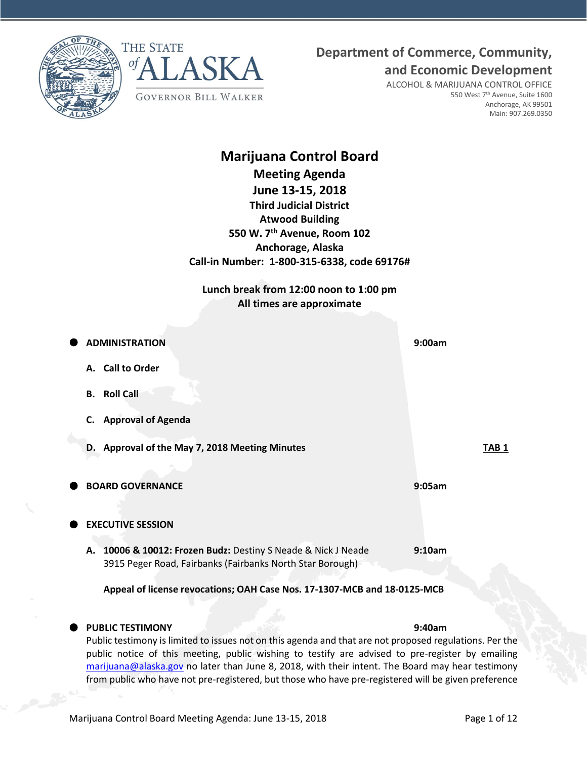



# **Department of Commerce, Community,**

**and Economic Development**

ALCOHOL & MARIJUANA CONTROL OFFICE 550 West 7<sup>th</sup> Avenue, Suite 1600 Anchorage, AK 99501 Main: 907.269.0350

# **Marijuana Control Board Meeting Agenda June 13-15, 2018 Third Judicial District Atwood Building 550 W. 7th Avenue, Room 102 Anchorage, Alaska Call-in Number: 1-800-315-6338, code 69176# Lunch break from 12:00 noon to 1:00 pm All times are approximate ADMINISTRATION 9:00am A. Call to Order B. Roll Call C. Approval of Agenda D.** Approval of the May 7, 2018 Meeting Minutes **TAB 1 BOARD GOVERNANCE 9:05am EXECUTIVE SESSION A. 10006 & 10012: Frozen Budz:** Destiny S Neade & Nick J Neade **9:10am** 3915 Peger Road, Fairbanks (Fairbanks North Star Borough) **Appeal of license revocations; OAH Case Nos. 17-1307-MCB and 18-0125-MCB**

# **PUBLIC TESTIMONY 9:40am**

Public testimony is limited to issues not on this agenda and that are not proposed regulations. Per the public notice of this meeting, public wishing to testify are advised to pre-register by emailing [marijuana@alaska.gov](mailto:marijuana@alaska.gov) no later than June 8, 2018, with their intent. The Board may hear testimony from public who have not pre-registered, but those who have pre-registered will be given preference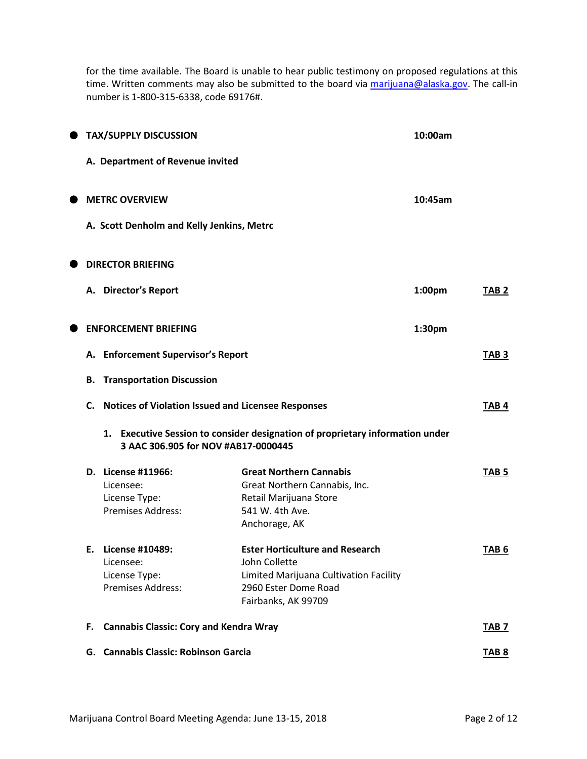for the time available. The Board is unable to hear public testimony on proposed regulations at this time. Written comments may also be submitted to the board via [marijuana@alaska.gov.](mailto:marijuana@alaska.gov) The call-in number is 1-800-315-6338, code 69176#.

|    | <b>TAX/SUPPLY DISCUSSION</b>                                                 |                                                                                                                                                  | 10:00am |                  |
|----|------------------------------------------------------------------------------|--------------------------------------------------------------------------------------------------------------------------------------------------|---------|------------------|
|    | A. Department of Revenue invited                                             |                                                                                                                                                  |         |                  |
|    | <b>METRC OVERVIEW</b>                                                        |                                                                                                                                                  | 10:45am |                  |
|    | A. Scott Denholm and Kelly Jenkins, Metrc                                    |                                                                                                                                                  |         |                  |
|    | <b>DIRECTOR BRIEFING</b>                                                     |                                                                                                                                                  |         |                  |
|    | A. Director's Report                                                         |                                                                                                                                                  | 1:00pm  | TAB <sub>2</sub> |
|    | <b>ENFORCEMENT BRIEFING</b>                                                  |                                                                                                                                                  | 1:30pm  |                  |
|    | A. Enforcement Supervisor's Report                                           |                                                                                                                                                  |         | TAB <sub>3</sub> |
| В. | <b>Transportation Discussion</b>                                             |                                                                                                                                                  |         |                  |
| C. | <b>Notices of Violation Issued and Licensee Responses</b>                    |                                                                                                                                                  |         | TAB <sub>4</sub> |
|    | 3 AAC 306.905 for NOV #AB17-0000445                                          | 1. Executive Session to consider designation of proprietary information under                                                                    |         |                  |
|    | D. License #11966:<br>Licensee:<br>License Type:<br>Premises Address:        | <b>Great Northern Cannabis</b><br>Great Northern Cannabis, Inc.<br>Retail Marijuana Store<br>541 W. 4th Ave.<br>Anchorage, AK                    |         | TAB <sub>5</sub> |
|    | E. License #10489:<br>Licensee:<br>License Type:<br><b>Premises Address:</b> | <b>Ester Horticulture and Research</b><br>John Collette<br>Limited Marijuana Cultivation Facility<br>2960 Ester Dome Road<br>Fairbanks, AK 99709 |         | TAB <sub>6</sub> |
| F. | <b>Cannabis Classic: Cory and Kendra Wray</b>                                |                                                                                                                                                  |         | TAB <sub>7</sub> |
|    | G. Cannabis Classic: Robinson Garcia                                         |                                                                                                                                                  |         | TAB <sub>8</sub> |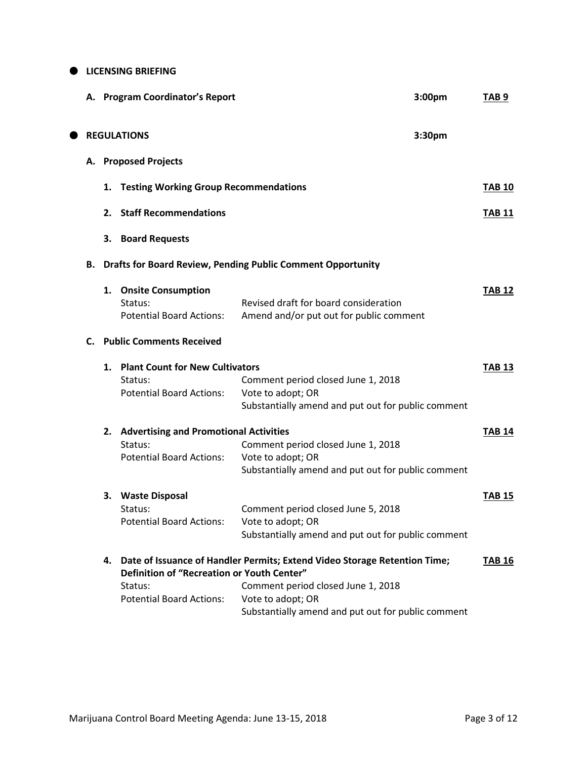# $\bullet$  LICENSING BRIEFING

|    |    | A. Program Coordinator's Report                                                          | 3:00pm                                                                                                                                                                                     | TAB <sub>9</sub> |
|----|----|------------------------------------------------------------------------------------------|--------------------------------------------------------------------------------------------------------------------------------------------------------------------------------------------|------------------|
|    |    | <b>REGULATIONS</b>                                                                       | 3:30pm                                                                                                                                                                                     |                  |
|    |    | A. Proposed Projects                                                                     |                                                                                                                                                                                            |                  |
|    | 1. | <b>Testing Working Group Recommendations</b>                                             |                                                                                                                                                                                            | <b>TAB 10</b>    |
|    | 2. | <b>Staff Recommendations</b>                                                             |                                                                                                                                                                                            | <b>TAB 11</b>    |
|    | З. | <b>Board Requests</b>                                                                    |                                                                                                                                                                                            |                  |
| В. |    |                                                                                          | <b>Drafts for Board Review, Pending Public Comment Opportunity</b>                                                                                                                         |                  |
|    | 1. | <b>Onsite Consumption</b><br>Status:<br><b>Potential Board Actions:</b>                  | Revised draft for board consideration<br>Amend and/or put out for public comment                                                                                                           | <b>TAB 12</b>    |
| C. |    | <b>Public Comments Received</b>                                                          |                                                                                                                                                                                            |                  |
|    | 1. | <b>Plant Count for New Cultivators</b><br>Status:<br><b>Potential Board Actions:</b>     | Comment period closed June 1, 2018<br>Vote to adopt; OR<br>Substantially amend and put out for public comment                                                                              | <b>TAB 13</b>    |
|    |    | 2. Advertising and Promotional Activities<br>Status:<br><b>Potential Board Actions:</b>  | Comment period closed June 1, 2018<br>Vote to adopt; OR<br>Substantially amend and put out for public comment                                                                              | <b>TAB 14</b>    |
|    | З. | <b>Waste Disposal</b><br>Status:<br><b>Potential Board Actions:</b>                      | Comment period closed June 5, 2018<br>Vote to adopt; OR<br>Substantially amend and put out for public comment                                                                              | <b>TAB 15</b>    |
|    | 4. | Definition of "Recreation or Youth Center"<br>Status:<br><b>Potential Board Actions:</b> | Date of Issuance of Handler Permits; Extend Video Storage Retention Time;<br>Comment period closed June 1, 2018<br>Vote to adopt; OR<br>Substantially amend and put out for public comment | <b>TAB 16</b>    |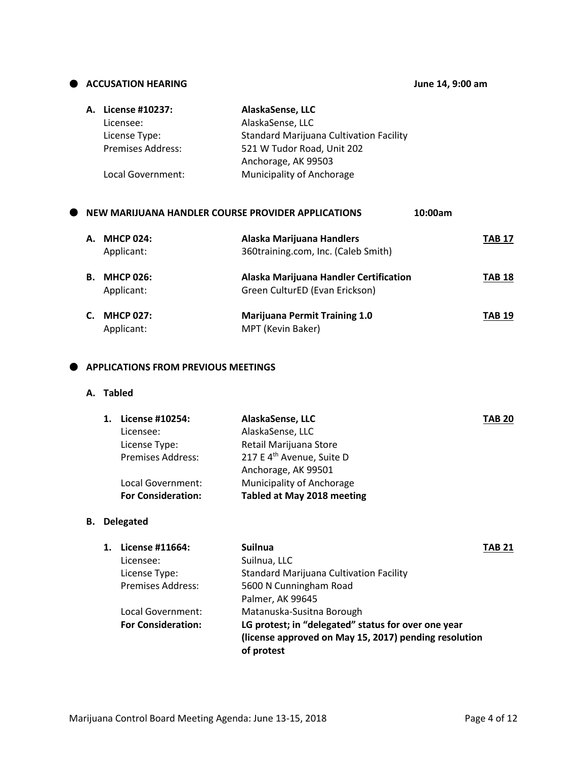# **ACCUSATION HEARING June 14, 9:00 am**

| A. License #10237:       | AlaskaSense, LLC                               |
|--------------------------|------------------------------------------------|
| Licensee:                | AlaskaSense, LLC                               |
| License Type:            | <b>Standard Marijuana Cultivation Facility</b> |
| <b>Premises Address:</b> | 521 W Tudor Road, Unit 202                     |
|                          | Anchorage, AK 99503                            |
| Local Government:        | Municipality of Anchorage                      |
|                          |                                                |

## **NEW MARIJUANA HANDLER COURSE PROVIDER APPLICATIONS 10:00am**

| А. | <b>MHCP 024:</b><br>Applicant: | Alaska Marijuana Handlers<br>360training.com, Inc. (Caleb Smith)         | <b>TAB 17</b> |
|----|--------------------------------|--------------------------------------------------------------------------|---------------|
| В. | <b>MHCP 026:</b><br>Applicant: | Alaska Marijuana Handler Certification<br>Green CulturED (Evan Erickson) | <b>TAB 18</b> |
|    | <b>MHCP 027:</b><br>Applicant: | <b>Marijuana Permit Training 1.0</b><br>MPT (Kevin Baker)                | <b>TAB 19</b> |

## $\bullet$  APPLICATIONS FROM PREVIOUS MEETINGS

# **A. Tabled**

| License #10254:           | AlaskaSense, LLC                      | <b>TAB 20</b> |
|---------------------------|---------------------------------------|---------------|
| Licensee:                 | AlaskaSense, LLC                      |               |
| License Type:             | Retail Marijuana Store                |               |
| <b>Premises Address:</b>  | 217 E 4 <sup>th</sup> Avenue, Suite D |               |
|                           | Anchorage, AK 99501                   |               |
| Local Government:         | <b>Municipality of Anchorage</b>      |               |
| <b>For Consideration:</b> | Tabled at May 2018 meeting            |               |

# **B. Delegated**

| 1. License #11664:        | <b>Suilnua</b>                                        | <b>TAB 21</b> |
|---------------------------|-------------------------------------------------------|---------------|
| Licensee:                 | Suilnua, LLC                                          |               |
| License Type:             | <b>Standard Marijuana Cultivation Facility</b>        |               |
| <b>Premises Address:</b>  | 5600 N Cunningham Road                                |               |
|                           | Palmer, AK 99645                                      |               |
| Local Government:         | Matanuska-Susitna Borough                             |               |
| <b>For Consideration:</b> | LG protest; in "delegated" status for over one year   |               |
|                           | (license approved on May 15, 2017) pending resolution |               |
|                           | of protest                                            |               |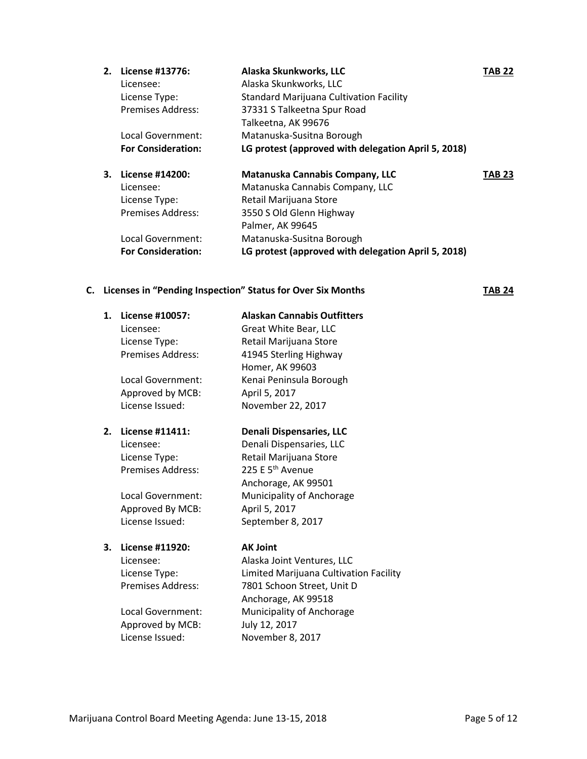| 2. | License #13776:           | Alaska Skunkworks, LLC                              | <b>TAB 22</b> |
|----|---------------------------|-----------------------------------------------------|---------------|
|    | Licensee:                 | Alaska Skunkworks, LLC                              |               |
|    | License Type:             | <b>Standard Marijuana Cultivation Facility</b>      |               |
|    | Premises Address:         | 37331 S Talkeetna Spur Road                         |               |
|    |                           | Talkeetna, AK 99676                                 |               |
|    | Local Government:         | Matanuska-Susitna Borough                           |               |
|    | <b>For Consideration:</b> | LG protest (approved with delegation April 5, 2018) |               |
| 3. | License #14200:           | <b>Matanuska Cannabis Company, LLC</b>              | TAB 23        |
|    | Licensee:                 | Matanuska Cannabis Company, LLC                     |               |
|    |                           |                                                     |               |
|    | License Type:             | Retail Marijuana Store                              |               |
|    | Premises Address:         | 3550 S Old Glenn Highway                            |               |
|    |                           | Palmer, AK 99645                                    |               |
|    | Local Government:         | Matanuska-Susitna Borough                           |               |

# **C. Licenses in "Pending Inspection" Status for Over Six Months TAB 24**

| 1. | License #10057:          | <b>Alaskan Cannabis Outfitters</b>     |
|----|--------------------------|----------------------------------------|
|    | Licensee:                | Great White Bear, LLC                  |
|    | License Type:            | Retail Marijuana Store                 |
|    | <b>Premises Address:</b> | 41945 Sterling Highway                 |
|    |                          | Homer, AK 99603                        |
|    | Local Government:        | Kenai Peninsula Borough                |
|    | Approved by MCB:         | April 5, 2017                          |
|    | License Issued:          | November 22, 2017                      |
| 2. | License #11411:          | Denali Dispensaries, LLC               |
|    | Licensee:                | Denali Dispensaries, LLC               |
|    | License Type:            | Retail Marijuana Store                 |
|    | <b>Premises Address:</b> | 225 E 5 <sup>th</sup> Avenue           |
|    |                          | Anchorage, AK 99501                    |
|    | Local Government:        | Municipality of Anchorage              |
|    | Approved By MCB:         | April 5, 2017                          |
|    | License Issued:          | September 8, 2017                      |
| 3. | License #11920:          | <b>AK Joint</b>                        |
|    | Licensee:                | Alaska Joint Ventures, LLC             |
|    | License Type:            | Limited Marijuana Cultivation Facility |
|    | Premises Address:        | 7801 Schoon Street, Unit D             |
|    |                          | Anchorogo AV 00510                     |

Approved by MCB: July 12, 2017

Anchorage, AK 99518 Local Government: Municipality of Anchorage License Issued: November 8, 2017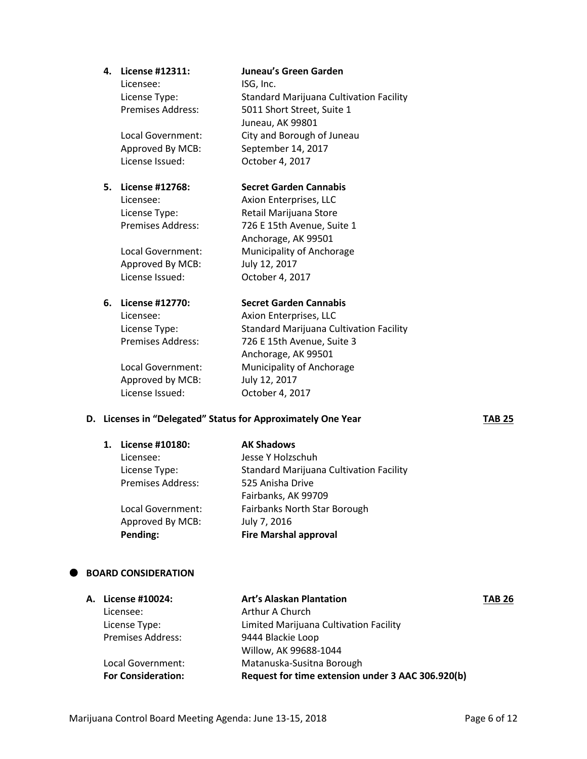Licensee: ISG, Inc.

License Issued: October 4, 2017

Approved By MCB: July 12, 2017 License Issued: October 4, 2017

Approved by MCB: July 12, 2017 License Issued: October 4, 2017

### **4. License #12311: Juneau's Green Garden**

License Type: Standard Marijuana Cultivation Facility Premises Address: 5011 Short Street, Suite 1 Juneau, AK 99801 Local Government: City and Borough of Juneau Approved By MCB: September 14, 2017

# **5. License #12768: Secret Garden Cannabis**

Licensee: Axion Enterprises, LLC License Type: Retail Marijuana Store Premises Address: 726 E 15th Avenue, Suite 1 Anchorage, AK 99501 Local Government: Municipality of Anchorage

# **6. License #12770: Secret Garden Cannabis**

Licensee: Axion Enterprises, LLC License Type: Standard Marijuana Cultivation Facility Premises Address: 726 E 15th Avenue, Suite 3 Anchorage, AK 99501 Local Government: Municipality of Anchorage

# **D. Licenses in "Delegated" Status for Approximately One Year TAB 25**

#### **1. License #10180: AK Shadows**

Premises Address: 525 Anisha Drive

Approved By MCB: July 7, 2016 **Pending: Fire Marshal approval**

Licensee: Jesse Y Holzschuh License Type: Standard Marijuana Cultivation Facility Fairbanks, AK 99709 Local Government: Fairbanks North Star Borough

# **BOARD CONSIDERATION**

| A. License #10024:        | <b>Art's Alaskan Plantation</b>                   | <b>TAB 26</b> |
|---------------------------|---------------------------------------------------|---------------|
| Licensee:                 | Arthur A Church                                   |               |
| License Type:             | Limited Marijuana Cultivation Facility            |               |
| <b>Premises Address:</b>  | 9444 Blackie Loop                                 |               |
|                           | Willow, AK 99688-1044                             |               |
| Local Government:         | Matanuska-Susitna Borough                         |               |
| <b>For Consideration:</b> | Request for time extension under 3 AAC 306.920(b) |               |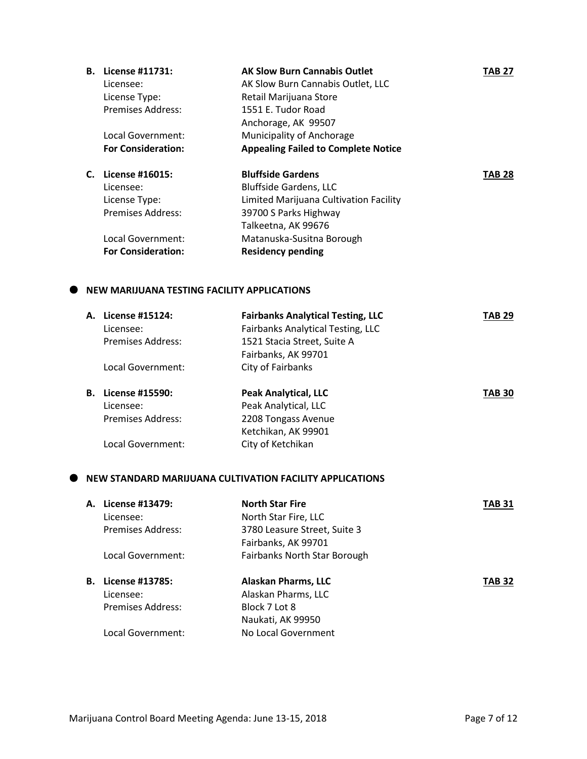| <b>B.</b> | License #11731:           | <b>AK Slow Burn Cannabis Outlet</b>        | TAB 27 |
|-----------|---------------------------|--------------------------------------------|--------|
|           | Licensee:                 | AK Slow Burn Cannabis Outlet, LLC          |        |
|           | License Type:             | Retail Marijuana Store                     |        |
|           | <b>Premises Address:</b>  | 1551 E. Tudor Road                         |        |
|           |                           | Anchorage, AK 99507                        |        |
|           | Local Government:         | Municipality of Anchorage                  |        |
|           | <b>For Consideration:</b> | <b>Appealing Failed to Complete Notice</b> |        |
| C.        | License #16015:           | <b>Bluffside Gardens</b>                   | TAB 28 |
|           | Licensee:                 | <b>Bluffside Gardens, LLC</b>              |        |
|           | License Type:             | Limited Marijuana Cultivation Facility     |        |
|           |                           |                                            |        |
|           | Premises Address:         | 39700 S Parks Highway                      |        |
|           |                           | Talkeetna, AK 99676                        |        |
|           | Local Government:         | Matanuska-Susitna Borough                  |        |

### $\bullet$  NEW MARIJUANA TESTING FACILITY APPLICATIONS

| А. | License #15124:<br>Licensee: | <b>Fairbanks Analytical Testing, LLC</b><br>Fairbanks Analytical Testing, LLC | TAB 29 |
|----|------------------------------|-------------------------------------------------------------------------------|--------|
|    | <b>Premises Address:</b>     | 1521 Stacia Street, Suite A                                                   |        |
|    |                              | Fairbanks, AK 99701                                                           |        |
|    | Local Government:            | City of Fairbanks                                                             |        |
| В. | License #15590:              | <b>Peak Analytical, LLC</b>                                                   | TAB 30 |
|    | Licensee:                    | Peak Analytical, LLC                                                          |        |
|    | Premises Address:            | 2208 Tongass Avenue                                                           |        |
|    |                              | Ketchikan, AK 99901                                                           |        |
|    | Local Government:            | City of Ketchikan                                                             |        |
|    |                              |                                                                               |        |

# **NEW STANDARD MARIJUANA CULTIVATION FACILITY APPLICATIONS**

| А. | License #13479:          | <b>North Star Fire</b>       | TAB 31 |
|----|--------------------------|------------------------------|--------|
|    | Licensee:                | North Star Fire, LLC         |        |
|    | <b>Premises Address:</b> | 3780 Leasure Street, Suite 3 |        |
|    |                          | Fairbanks, AK 99701          |        |
|    | Local Government:        | Fairbanks North Star Borough |        |
| В. | License #13785:          | <b>Alaskan Pharms, LLC</b>   | TAB 32 |
|    | Licensee:                | Alaskan Pharms, LLC          |        |
|    | <b>Premises Address:</b> | Block 7 Lot 8                |        |
|    |                          | Naukati, AK 99950            |        |
|    | Local Government:        | No Local Government          |        |
|    |                          |                              |        |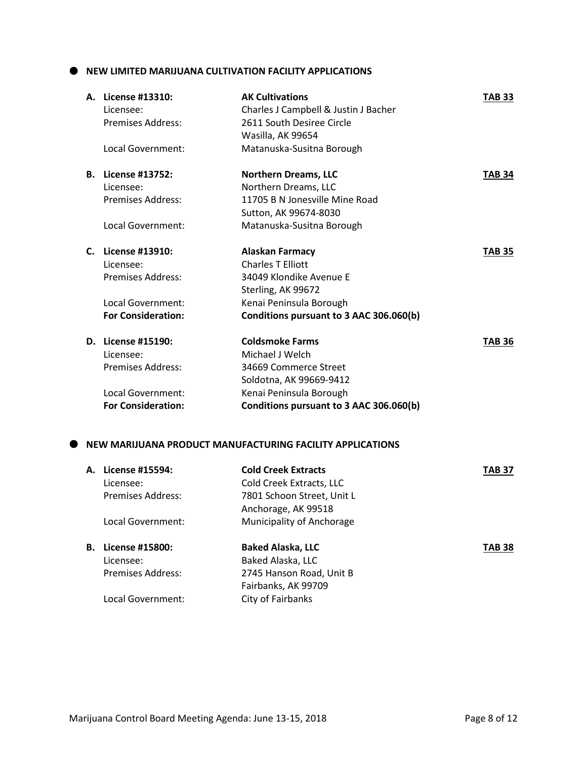# **NEW LIMITED MARIJUANA CULTIVATION FACILITY APPLICATIONS**

|    | A. License #13310:        | <b>AK Cultivations</b>                  | <b>TAB 33</b> |
|----|---------------------------|-----------------------------------------|---------------|
|    | Licensee:                 | Charles J Campbell & Justin J Bacher    |               |
|    | Premises Address:         | 2611 South Desiree Circle               |               |
|    |                           | Wasilla, AK 99654                       |               |
|    | Local Government:         | Matanuska-Susitna Borough               |               |
|    | <b>B.</b> License #13752: | <b>Northern Dreams, LLC</b>             | <b>TAB 34</b> |
|    | Licensee:                 | Northern Dreams, LLC                    |               |
|    | Premises Address:         | 11705 B N Jonesville Mine Road          |               |
|    |                           | Sutton, AK 99674-8030                   |               |
|    | Local Government:         | Matanuska-Susitna Borough               |               |
| C. | License #13910:           | <b>Alaskan Farmacy</b>                  | <b>TAB 35</b> |
|    | Licensee:                 | <b>Charles T Filiott</b>                |               |
|    | Premises Address:         | 34049 Klondike Avenue E                 |               |
|    |                           | Sterling, AK 99672                      |               |
|    | Local Government:         | Kenai Peninsula Borough                 |               |
|    | <b>For Consideration:</b> | Conditions pursuant to 3 AAC 306.060(b) |               |
|    | D. License #15190:        | <b>Coldsmoke Farms</b>                  | <b>TAB 36</b> |
|    | Licensee:                 | Michael J Welch                         |               |
|    | <b>Premises Address:</b>  | 34669 Commerce Street                   |               |
|    |                           | Soldotna, AK 99669-9412                 |               |
|    | Local Government:         | Kenai Peninsula Borough                 |               |
|    | <b>For Consideration:</b> | Conditions pursuant to 3 AAC 306.060(b) |               |

#### **NEW MARIJUANA PRODUCT MANUFACTURING FACILITY APPLICATIONS**

| License #15594:          | <b>Cold Creek Extracts</b> | TAB 37        |
|--------------------------|----------------------------|---------------|
| Licensee:                | Cold Creek Extracts, LLC   |               |
| Premises Address:        | 7801 Schoon Street, Unit L |               |
|                          | Anchorage, AK 99518        |               |
| Local Government:        | Municipality of Anchorage  |               |
| License #15800:          | <b>Baked Alaska, LLC</b>   | <b>TAB 38</b> |
| Licensee:                | Baked Alaska, LLC          |               |
| <b>Premises Address:</b> | 2745 Hanson Road, Unit B   |               |
|                          | Fairbanks, AK 99709        |               |
|                          |                            |               |
|                          |                            |               |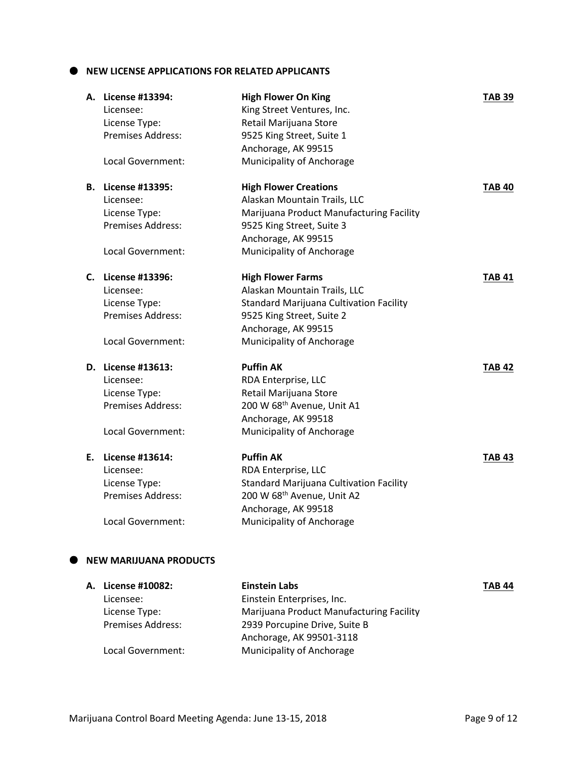$\bullet$  NEW LICENSE APPLICATIONS FOR RELATED APPLICANTS

|  | A. License #13394:<br>Licensee:<br>License Type:<br><b>Premises Address:</b>                             | <b>High Flower On King</b><br>King Street Ventures, Inc.<br>Retail Marijuana Store<br>9525 King Street, Suite 1                                                                             | <b>TAB 39</b> |
|--|----------------------------------------------------------------------------------------------------------|---------------------------------------------------------------------------------------------------------------------------------------------------------------------------------------------|---------------|
|  | Local Government:                                                                                        | Anchorage, AK 99515<br>Municipality of Anchorage                                                                                                                                            |               |
|  | <b>B.</b> License #13395:<br>Licensee:<br>License Type:<br><b>Premises Address:</b><br>Local Government: | <b>High Flower Creations</b><br>Alaskan Mountain Trails, LLC<br>Marijuana Product Manufacturing Facility<br>9525 King Street, Suite 3<br>Anchorage, AK 99515<br>Municipality of Anchorage   | <b>TAB 40</b> |
|  | C. License #13396:<br>Licensee:<br>License Type:<br><b>Premises Address:</b><br>Local Government:        | <b>High Flower Farms</b><br>Alaskan Mountain Trails, LLC<br><b>Standard Marijuana Cultivation Facility</b><br>9525 King Street, Suite 2<br>Anchorage, AK 99515<br>Municipality of Anchorage | <b>TAB 41</b> |
|  | D. License #13613:<br>Licensee:<br>License Type:<br><b>Premises Address:</b><br>Local Government:        | <b>Puffin AK</b><br>RDA Enterprise, LLC<br>Retail Marijuana Store<br>200 W 68th Avenue, Unit A1<br>Anchorage, AK 99518<br>Municipality of Anchorage                                         | <b>TAB 42</b> |
|  | E. License #13614:<br>Licensee:<br>License Type:<br><b>Premises Address:</b><br>Local Government:        | <b>Puffin AK</b><br>RDA Enterprise, LLC<br><b>Standard Marijuana Cultivation Facility</b><br>200 W 68 <sup>th</sup> Avenue, Unit A2<br>Anchorage, AK 99518<br>Municipality of Anchorage     | <b>TAB 43</b> |
|  | <b>NEW MARIJUANA PRODUCTS</b>                                                                            |                                                                                                                                                                                             |               |
|  | A. License #10082:                                                                                       | <b>Einstein Labs</b>                                                                                                                                                                        | <b>TAB 44</b> |

| A. License #10082:       | Einstein Labs                            | TAB 44 |
|--------------------------|------------------------------------------|--------|
| Licensee:                | Einstein Enterprises, Inc.               |        |
| License Type:            | Marijuana Product Manufacturing Facility |        |
| <b>Premises Address:</b> | 2939 Porcupine Drive, Suite B            |        |
|                          | Anchorage, AK 99501-3118                 |        |
| Local Government:        | Municipality of Anchorage                |        |
|                          |                                          |        |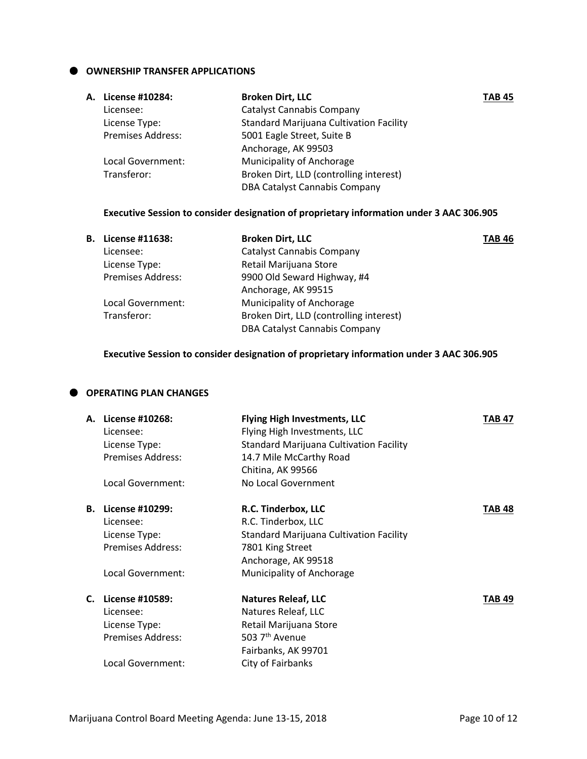$\bullet$  OWNERSHIP TRANSFER APPLICATIONS

| A. License #10284:       | <b>Broken Dirt, LLC</b>                        | <b>TAB 45</b> |
|--------------------------|------------------------------------------------|---------------|
| Licensee:                | <b>Catalyst Cannabis Company</b>               |               |
| License Type:            | <b>Standard Marijuana Cultivation Facility</b> |               |
| <b>Premises Address:</b> | 5001 Eagle Street, Suite B                     |               |
|                          | Anchorage, AK 99503                            |               |
| Local Government:        | Municipality of Anchorage                      |               |
| Transferor:              | Broken Dirt, LLD (controlling interest)        |               |
|                          | <b>DBA Catalyst Cannabis Company</b>           |               |
|                          |                                                |               |

# **Executive Session to consider designation of proprietary information under 3 AAC 306.905**

| В. | License #11638:          | <b>Broken Dirt, LLC</b>                 | <b>TAB 46</b> |
|----|--------------------------|-----------------------------------------|---------------|
|    | Licensee:                | <b>Catalyst Cannabis Company</b>        |               |
|    | License Type:            | Retail Marijuana Store                  |               |
|    | <b>Premises Address:</b> | 9900 Old Seward Highway, #4             |               |
|    |                          | Anchorage, AK 99515                     |               |
|    | Local Government:        | Municipality of Anchorage               |               |
|    | Transferor:              | Broken Dirt, LLD (controlling interest) |               |
|    |                          | DBA Catalyst Cannabis Company           |               |
|    |                          |                                         |               |

# **Executive Session to consider designation of proprietary information under 3 AAC 306.905**

# **OPERATING PLAN CHANGES**

| А. | License #10268:          | <b>Flying High Investments, LLC</b>            | TAB 47        |
|----|--------------------------|------------------------------------------------|---------------|
|    | Licensee:                | Flying High Investments, LLC                   |               |
|    | License Type:            | <b>Standard Marijuana Cultivation Facility</b> |               |
|    | Premises Address:        | 14.7 Mile McCarthy Road                        |               |
|    |                          | Chitina, AK 99566                              |               |
|    | Local Government:        | No Local Government                            |               |
| В. | License #10299:          | R.C. Tinderbox, LLC                            | <b>TAB 48</b> |
|    | Licensee:                | R.C. Tinderbox, LLC                            |               |
|    | License Type:            | Standard Marijuana Cultivation Facility        |               |
|    | Premises Address:        | 7801 King Street                               |               |
|    |                          | Anchorage, AK 99518                            |               |
|    | Local Government:        | Municipality of Anchorage                      |               |
| C. | License #10589:          | <b>Natures Releaf, LLC</b>                     | TAB 49        |
|    | Licensee:                | Natures Releaf, LLC                            |               |
|    | License Type:            | Retail Marijuana Store                         |               |
|    | <b>Premises Address:</b> | 503 7 <sup>th</sup> Avenue                     |               |
|    |                          | Fairbanks, AK 99701                            |               |
|    | Local Government:        | City of Fairbanks                              |               |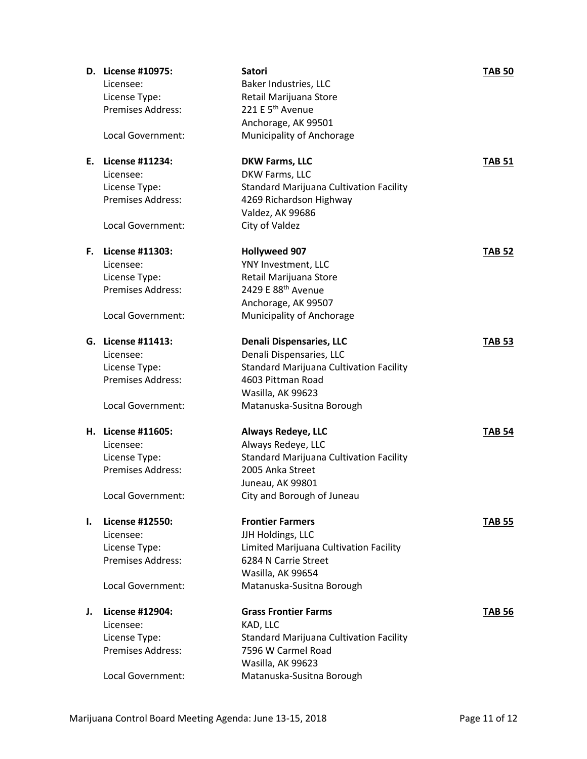|    | D. License #10975:       | <b>Satori</b>                                  | <b>TAB 50</b> |
|----|--------------------------|------------------------------------------------|---------------|
|    | Licensee:                | Baker Industries, LLC                          |               |
|    | License Type:            | Retail Marijuana Store                         |               |
|    | <b>Premises Address:</b> | 221 E 5 <sup>th</sup> Avenue                   |               |
|    |                          | Anchorage, AK 99501                            |               |
|    | <b>Local Government:</b> | Municipality of Anchorage                      |               |
|    |                          |                                                |               |
|    | E. License #11234:       | <b>DKW Farms, LLC</b>                          | <b>TAB 51</b> |
|    | Licensee:                | DKW Farms, LLC                                 |               |
|    | License Type:            | <b>Standard Marijuana Cultivation Facility</b> |               |
|    | <b>Premises Address:</b> | 4269 Richardson Highway                        |               |
|    |                          | Valdez, AK 99686                               |               |
|    | Local Government:        | City of Valdez                                 |               |
| F. | License #11303:          | <b>Hollyweed 907</b>                           | <b>TAB 52</b> |
|    | Licensee:                | YNY Investment, LLC                            |               |
|    | License Type:            | Retail Marijuana Store                         |               |
|    | Premises Address:        | 2429 E 88 <sup>th</sup> Avenue                 |               |
|    |                          | Anchorage, AK 99507                            |               |
|    | Local Government:        | Municipality of Anchorage                      |               |
|    |                          |                                                |               |
|    | G. License #11413:       | <b>Denali Dispensaries, LLC</b>                | <b>TAB 53</b> |
|    | Licensee:                | Denali Dispensaries, LLC                       |               |
|    | License Type:            | <b>Standard Marijuana Cultivation Facility</b> |               |
|    | Premises Address:        | 4603 Pittman Road                              |               |
|    |                          | Wasilla, AK 99623                              |               |
|    | Local Government:        | Matanuska-Susitna Borough                      |               |
|    | H. License #11605:       | <b>Always Redeye, LLC</b>                      | <b>TAB 54</b> |
|    | Licensee:                | Always Redeye, LLC                             |               |
|    | License Type:            | <b>Standard Marijuana Cultivation Facility</b> |               |
|    | Premises Address:        | 2005 Anka Street                               |               |
|    |                          | Juneau, AK 99801                               |               |
|    | Local Government:        | City and Borough of Juneau                     |               |
|    |                          |                                                |               |
| ı. | License #12550:          | <b>Frontier Farmers</b>                        | <b>TAB 55</b> |
|    | Licensee:                | JJH Holdings, LLC                              |               |
|    | License Type:            | Limited Marijuana Cultivation Facility         |               |
|    | Premises Address:        | 6284 N Carrie Street                           |               |
|    |                          | Wasilla, AK 99654                              |               |
|    | Local Government:        | Matanuska-Susitna Borough                      |               |
| J. | License #12904:          | <b>Grass Frontier Farms</b>                    | <b>TAB 56</b> |
|    | Licensee:                | KAD, LLC                                       |               |
|    | License Type:            | <b>Standard Marijuana Cultivation Facility</b> |               |
|    | Premises Address:        | 7596 W Carmel Road                             |               |
|    |                          | Wasilla, AK 99623                              |               |
|    | Local Government:        | Matanuska-Susitna Borough                      |               |
|    |                          |                                                |               |